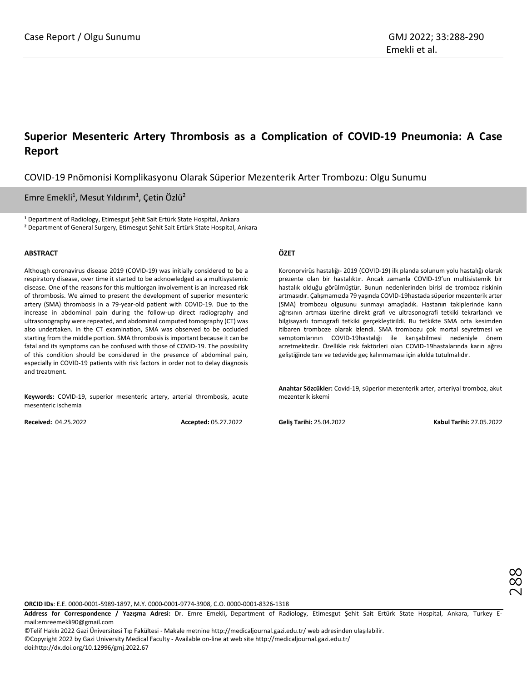## **Superior Mesenteric Artery Thrombosis as a Complication of COVID-19 Pneumonia: A Case Report**

COVID-19 Pnömonisi Komplikasyonu Olarak Süperior Mezenterik Arter Trombozu: Olgu Sunumu

Emre Emekli<sup>1</sup>, Mesut Yıldırım<sup>1</sup>, Çetin Özlü<sup>2</sup>

**<sup>1</sup>** Department of Radiology, Etimesgut Şehit Sait Ertürk State Hospital, Ankara

**<sup>2</sup>** Department of General Surgery, Etimesgut Şehit Sait Ertürk State Hospital, Ankara

## **ABSTRACT**

Although coronavirus disease 2019 (COVID-19) was initially considered to be a respiratory disease, over time it started to be acknowledged as a multisystemic disease. One of the reasons for this multiorgan involvement is an increased risk of thrombosis. We aimed to present the development of superior mesenteric artery (SMA) thrombosis in a 79-year-old patient with COVID-19. Due to the increase in abdominal pain during the follow-up direct radiography and ultrasonography were repeated, and abdominal computed tomography (CT) was also undertaken. In the CT examination, SMA was observed to be occluded starting from the middle portion. SMA thrombosis is important because it can be fatal and its symptoms can be confused with those of COVID-19. The possibility of this condition should be considered in the presence of abdominal pain, especially in COVID-19 patients with risk factors in order not to delay diagnosis and treatment.

**Keywords:** COVID-19, superior mesenteric artery, arterial thrombosis, acute mesenteric ischemia

**Received:** 04.25.2022 **Accepted:** 05.27.2022

## **ÖZET**

Koronorvirüs hastalığı- 2019 (COVID-19) ilk planda solunum yolu hastalığı olarak prezente olan bir hastalıktır. Ancak zamanla COVID-19'un multisistemik bir hastalık olduğu görülmüştür. Bunun nedenlerinden birisi de tromboz riskinin artmasıdır. Çalışmamızda 79 yaşında COVID-19hastada süperior mezenterik arter (SMA) trombozu olgusunu sunmayı amaçladık. Hastanın takiplerinde karın ağrısının artması üzerine direkt grafi ve ultrasonografi tetkiki tekrarlandı ve bilgisayarlı tomografi tetkiki gerçekleştirildi. Bu tetkikte SMA orta kesimden itibaren tromboze olarak izlendi. SMA trombozu çok mortal seyretmesi ve semptomlarının COVID-19hastalığı ile karışabilmesi nedeniyle önem arzetmektedir. Özellikle risk faktörleri olan COVID-19hastalarında karın ağrısı geliştiğinde tanı ve tedavide geç kalınmaması için akılda tutulmalıdır.

**Anahtar Sözcükler:** Covid-19, süperior mezenterik arter, arteriyal tromboz, akut mezenterik iskemi

**Geliş Tarihi:** 25.04.2022 **Kabul Tarihi:** 27.05.2022

**ORCID IDs**: E.E. 0000-0001-5989-1897, M.Y. 0000-0001-9774-3908, C.O. 0000-0001-8326-1318

**Address for Correspondence / Yazışma Adresi:** Dr. Emre Emekli**,** Department of Radiology, Etimesgut Şehit Sait Ertürk State Hospital, Ankara, Turkey Email:emreemekli90@gmail.com

©Telif Hakkı 2022 Gazi Üniversitesi Tıp Fakültesi - Makale metnine http://medicaljournal.gazi.edu.tr/ web adresinden ulaşılabilir. ©Copyright 2022 by Gazi University Medical Faculty - Available on-line at web site http://medicaljournal.gazi.edu.tr/ doi:http://dx.doi.org/10.12996/gmj.2022.67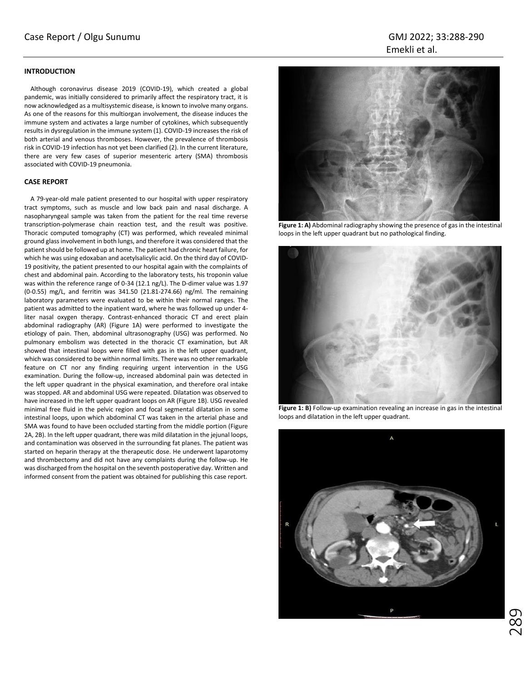## **INTRODUCTION**

Although coronavirus disease 2019 (COVID-19), which created a global pandemic, was initially considered to primarily affect the respiratory tract, it is now acknowledged as a multisystemic disease, is known to involve many organs. As one of the reasons for this multiorgan involvement, the disease induces the immune system and activates a large number of cytokines, which subsequently results in dysregulation in the immune system (1). COVID-19 increases the risk of both arterial and venous thromboses. However, the prevalence of thrombosis risk in COVID-19 infection has not yet been clarified (2). In the current literature, there are very few cases of superior mesenteric artery (SMA) thrombosis associated with COVID-19 pneumonia.

## **CASE REPORT**

A 79-year-old male patient presented to our hospital with upper respiratory tract symptoms, such as muscle and low back pain and nasal discharge. A nasopharyngeal sample was taken from the patient for the real time reverse transcription-polymerase chain reaction test, and the result was positive. Thoracic computed tomography (CT) was performed, which revealed minimal ground glass involvement in both lungs, and therefore it was considered that the patient should be followed up at home. The patient had chronic heart failure, for which he was using edoxaban and acetylsalicylic acid. On the third day of COVID-19 positivity, the patient presented to our hospital again with the complaints of chest and abdominal pain. According to the laboratory tests, his troponin value was within the reference range of 0-34 (12.1 ng/L). The D-dimer value was 1.97 (0-0.55) mg/L, and ferritin was 341.50 (21.81-274.66) ng/ml. The remaining laboratory parameters were evaluated to be within their normal ranges. The patient was admitted to the inpatient ward, where he was followed up under 4 liter nasal oxygen therapy. Contrast-enhanced thoracic CT and erect plain abdominal radiography (AR) (Figure 1A) were performed to investigate the etiology of pain. Then, abdominal ultrasonography (USG) was performed. No pulmonary embolism was detected in the thoracic CT examination, but AR showed that intestinal loops were filled with gas in the left upper quadrant, which was considered to be within normal limits. There was no other remarkable feature on CT nor any finding requiring urgent intervention in the USG examination. During the follow-up, increased abdominal pain was detected in the left upper quadrant in the physical examination, and therefore oral intake was stopped. AR and abdominal USG were repeated. Dilatation was observed to have increased in the left upper quadrant loops on AR (Figure 1B). USG revealed minimal free fluid in the pelvic region and focal segmental dilatation in some intestinal loops, upon which abdominal CT was taken in the arterial phase and SMA was found to have been occluded starting from the middle portion (Figure 2A, 2B). In the left upper quadrant, there was mild dilatation in the jejunal loops, and contamination was observed in the surrounding fat planes. The patient was started on heparin therapy at the therapeutic dose. He underwent laparotomy and thrombectomy and did not have any complaints during the follow-up. He was discharged from the hospital on the seventh postoperative day. Written and informed consent from the patient was obtained for publishing this case report.



**Figure 1: A)** Abdominal radiography showing the presence of gas in the intestinal loops in the left upper quadrant but no pathological finding.



**Figure 1: B)** Follow-up examination revealing an increase in gas in the intestinal loops and dilatation in the left upper quadrant.